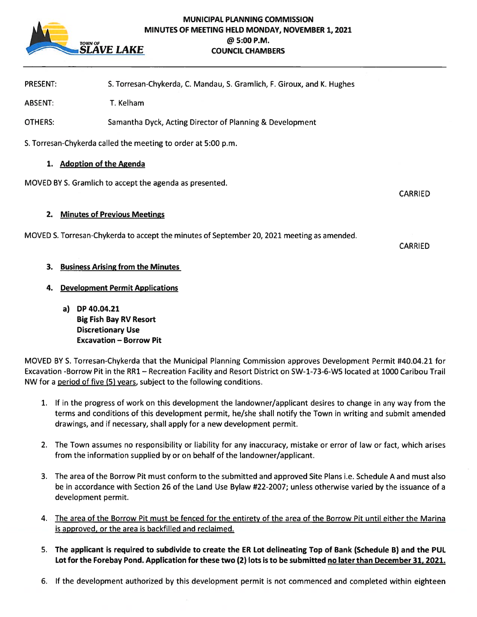

## MUNICIPAL PLANNING COMMISSION MINUTES OF MEETING HELD MONDAY, NOVEMBER 1, 2021 TOWN OF 5:00 P.M.<br>**SLAVE LAKE** COUNCIL CHAMB **COUNCIL CHAMBERS**

PRESENT: S. Torresan-Chykerda, C. Mandau, S. Gramlich, F. Giroux, and K. Hughes

ABSENT: T. Kelham

OTHERS: Samantha Dyck, Acting Director of Planning & Development

S. Torresan-Chykerda called the meeting to order at 5:00 p.m.

#### 1. Adoption of the Agenda

MOVED BY S. Gramlich to accep<sup>t</sup> the agenda as presented.

CARRIED

## 2. Minutes of Previous Meetings

MOVED S. Torresan-Chykerda to accep<sup>t</sup> the minutes of September 20, 2021 meeting as amended.

CARRIED

# 3. Business Arising from the Minutes

# 4. Development Permit Applications

a) DP 40.04.21 Big Fish Bay RV Resort Discretionary Use Excavation — Borrow Pit

MOVED BY S. Torresan-Chykerda that the Municipal Planning Commission approves Development Permit #40.04.21 for Excavation -Borrow Pit in the RR1 — Recreation Facility and Resort District on SW-1-73-6-W5 located at 1000 Caribou Trail NW for <sup>a</sup> period of five (5) years, subject to the following conditions.

- 1. If in the progress of work on this development the landowner/applicant desires to change in any way from the terms and conditions of this development permit, he/she shall notify the Town in writing and submit amended drawings, and if necessary, shall apply for <sup>a</sup> new development permit.
- 2. The Town assumes no responsibility or liability for any inaccuracy, mistake or error of law or fact, which arises from the information supplied by or on behalf of the landowner/applicant.
- 3. The area of the Borrow Pit must conform to the submitted and approved Site Plans i.e. Schedule A and must also be in accordance with Section 26 of the Land Use Bylaw #22-2007; unless otherwise varied by the issuance of <sup>a</sup> development permit.
- 4. The area of the Borrow Pit must be fenced for the entirety of the area of the Borrow Pit until either the Marina is approved, or the area is backfilled and reclaimed.
- 5. The applicant is required to subdivide to create the ER Lot delineating Top of Bank (Schedule B) and the PUL Lot for the Forebay Pond. Application for these two (2) lots is to be submitted no later than December 31, 2021.
- 6. If the development authorized by this development permit is not commenced and completed within eighteen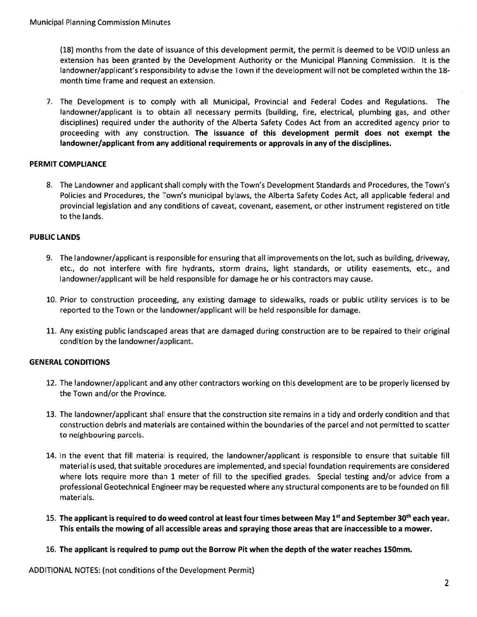(18) months from the date of issuance of this development permit, the permit is deemed to be VOID unless an extension has been granted by the Development Authority or the Municipal Planning Commission. It is the landowner/applicant's responsibility to advise the Town if the development will not be completed within the 18 month time frame and reques<sup>t</sup> an extension.

7. The Development is to comply with all Municipal, Provincial and Federal Codes and Regulations. The landowner/applicant is to obtain all necessary permits (building, fire, electrical, plumbing gas, and other disciplines) required under the authority of the Alberta Safety Codes Act from an accredited agency prior to proceeding with any construction. The issuance of this development permit does not exemp<sup>t</sup> the landowner/applicant from any additional requirements or approvals in any of the disciplines.

## PERMIT COMPLIANCE

8. The Landowner and applicant shall comply with the Town's Development Standards and Procedures, the Town's Policies and Procedures, the Town's municipal bylaws, the Alberta Safety Codes Act, all applicable federal and provincial legislation and any conditions of caveat, covenant, easement, or other instrument registered on title to the lands.

## PUBLIC LANDS

- 9. The landowner/applicant is responsible for ensuring that all improvements on the lot, such as building, driveway, etc., do not interfere with fire hydrants, storm drains, light standards, or utility easements, etc., and landowner/applicant will be held responsible for damage he or his contractors may cause.
- 10. Prior to construction proceeding, any existing damage to sidewalks, roads or public utility services is to be reported to the Town or the landowner/applicant will be held responsible for damage.
- 11. Any existing public landscaped areas that are damaged during construction are to be repaired to their original condition by the landowner/applicant.

# GENERAL CONDITIONS

- 12. The landowner/applicant and any other contractors working on this development are to be properly licensed by the Town and/or the Province.
- 13. The landowner/applicant shall ensure that the construction site remains in <sup>a</sup> tidy and orderly condition and that construction debris and materials are contained within the boundaries of the parcel and not permitted to scatter to neighbouring parcels.
- 14. In the event that fill material is required, the landowner/applicant is responsible to ensure that suitable fill material is used, that suitable procedures are implemented, and special foundation requirements are considered where lots require more than 1 meter of fill to the specified grades. Special testing and/or advice from a professional Geotechnical Engineer may be requested where any structural components are to be founded on fill materials.
- 15. The applicant is required to do weed control at least four times between May 1st and September 30th each year This entails the mowing of all accessible areas and spraying those areas that are inaccessible to <sup>a</sup> mower.
- 16. The applicant is required to pump out the Borrow Pit when the depth of the water reaches 150mm.

ADDITIONAL NOTES: (not conditions of the Development Permit)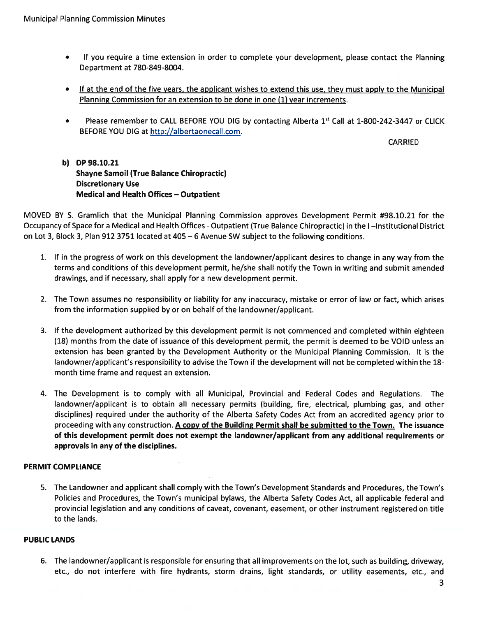- $\bullet$  If you require <sup>a</sup> time extension in order to complete your development, please contact the Planning Department at 780-849-8004.
- If at the end of the five years, the applicant wishes to extend this use, they must apply to the Municipal Planning Commission for an extension to be done in one (1) year increments.
- $\bullet$ Please remember to CALL BEFORE YOU DIG by contacting Alberta 1st Call at 1-800-242-3447 or CLICK BEFORE YOU DIG at http://albertaonecall.com.

CARRIED

b) DP98.1O.21 Shayne Samoil (True Balance Chiropractic) Discretionary Use Medical and Health Offices — Outpatient

MOVED BY S. Gramlich that the Municipal Planning Commission approves Development Permit #98.10.21 for the Occupancy of Space for <sup>a</sup> Medical and Health Offices -Outpatient (True Balance Chiropractic) in the I —Institutional District on Lot 3, Block 3, Plan 912 3751 located at 405 — 6 Avenue SW subject to the following conditions.

- 1. If in the progress of work on this development the landowner/applicant desires to change in any way from the terms and conditions of this development permit, he/she shall notify the Town in writing and submit amended drawings, and if necessary, shall apply for <sup>a</sup> new development permit.
- 2. The Town assumes no responsibility or liability for any inaccuracy, mistake or error of law or fact, which arises from the information supplied by or on behalf of the landowner/applicant.
- 3. If the development authorized by this development permit is not commenced and completed within eighteen (18) months from the date of issuance of this development permit, the permit is deemed to be VOID unless an extension has been granted by the Development Authority or the Municipal Planning Commission. It is the landowner/applicant's responsibility to advise the Town if the development will not be completed within the 18 month time frame and reques<sup>t</sup> an extension.
- 4. The Development is to comply with all Municipal, Provincial and Federal Codes and Regulations. The landowner/applicant is to obtain all necessary permits (building, fire, electrical, <sup>p</sup>lumbing gas, and other disciplines) required under the authority of the Alberta Safety Codes Act from an accredited agency prior to proceeding with any construction. A copy of the Building Permit shall be submitted to the Town. The issuance of this development permit does not exemp<sup>t</sup> the landowner/applicant from any additional requirements or approvals in any of the disciplines.

# PERMIT COMPLIANCE

5. The Landowner and applicant shall comply with the Town's Development Standards and Procedures, the Town's Policies and Procedures, the Town's municipal bylaws, the Alberta Safety Codes Act, all applicable federal and provincial legislation and any conditions of caveat, covenant, easement, or other instrument registered on title to the lands.

#### PUBLIC LANDS

6. The landowner/applicant is responsible for ensuring that all improvements on the lot, such as building, driveway, etc., do not interfere with fire hydrants, storm drains, light standards, or utility easements, etc., and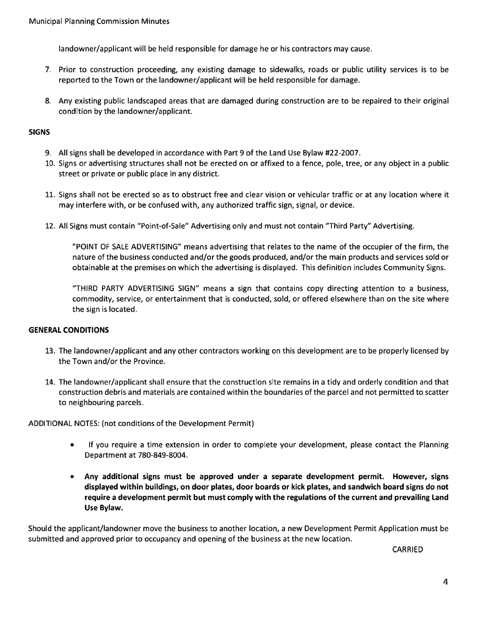landowner/applicant will be held responsible for damage he or his contractors may cause.

- 7. Prior to construction proceeding, any existing damage to sidewalks, roads or public utility services is to be reported to the Town or the landowner/applicant will be held responsible for damage.
- 8. Any existing public landscaped areas that are damaged during construction are to be repaired to their origina condition by the landowner/applicant.

#### SIGNS

- 9. All signs shall be developed in accordance with Part 9 of the Land Use Bylaw #22-2007.
- 10. Signs or advertising structures shall not be erected on or affixed to <sup>a</sup> fence, pole, tree, or any object in <sup>a</sup> public street or private or public place in any district.
- 11. Signs shall not be erected so as to obstruct free and clear vision or vehicular traffic or at any location where it may interfere with, or be confused with, any authorized traffic sign, signal, or device.
- 12. All Signs must contain "Point-of-Sale" Advertising only and must not contain "Third Party" Advertising.

"POINT OF SALE ADVERTISING" means advertising that relates to the name of the occupier of the firm, the nature of the business conducted and/or the goods produced, and/or the main products and services sold or obtainable at the premises on which the advertising is displayed. This definition includes Community Signs.

"THIRD PARTY ADVERTISING SIGN" means <sup>a</sup> sign that contains copy directing attention to <sup>a</sup> business, commodity, service, or entertainment that is conducted, sold, or offered elsewhere than on the site where the sign is located.

#### GENERAL CONDITIONS

- 13. The landowner/applicant and any other contractors working on this development are to be properly licensed by the Town and/or the Province.
- 14. The landowner/applicant shall ensure that the construction site remains in <sup>a</sup> tidy and orderly condition and that construction debris and materials are contained within the boundaries of the parcel and not permitted to scatter to neighbouring parcels.

ADDITIONAL NOTES: (not conditions of the Development Permit)

- • If you require <sup>a</sup> time extension in order to complete your development, please contact the Planning Department at 780-849-8004.
- Any additional signs must be approved under <sup>a</sup> separate development permit. However, signs displayed within buildings, on door plates, door boards or kick plates, and sandwich board signs do not require <sup>a</sup> development permit but must comply with the regulations of the current and prevailing Land Use Bylaw.

Should the applicant/landowner move the business to another location, <sup>a</sup> new Development Permit Application must be submitted and approved prior to occupancy and opening of the business at the new location.

CARRIED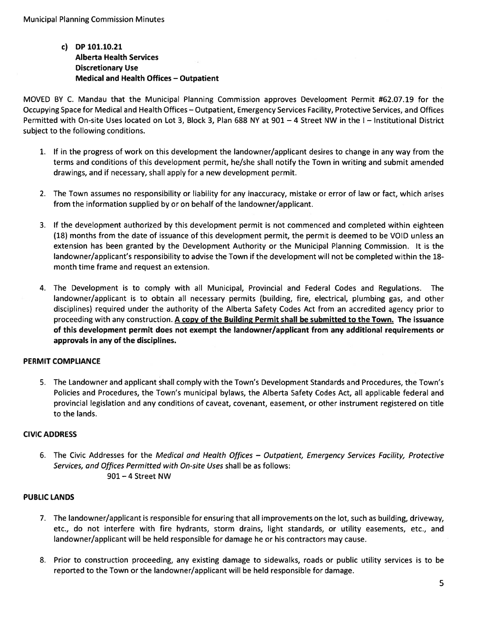# c) DP 101.10.21 Alberta Health Services Discretionary Use Medical and Health Offices — Outpatient

MOVED BY C. Mandau that the Municipal Planning Commission approves Development Permit #62.07.19 for the Occupying Space for Medical and Health Offices — Outpatient, Emergency Services Facility, Protective Services, and Offices Permitted with On-site Uses located on Lot 3, Block 3, Plan 688 NY at 901 — 4 Street NW in the I — Institutional District subject to the following conditions.

- 1. If in the progress of work on this development the landowner/applicant desires to change in any way from the terms and conditions of this development permit, he/she shall notify the Town in writing and submit amended drawings, and if necessary, shall apply for <sup>a</sup> new development permit.
- 2. The Town assumes no responsibility or liability for any inaccuracy, mistake or error of law or fact, which arises from the information supplied by or on behalf of the landowner/applicant.
- 3. If the development authorized by this development permit is not commenced and completed within eighteen (18) months from the date of issuance of this development permit, the permit is deemed to be VOID unless an extension has been granted by the Development Authority or the Municipal Planning Commission. It is the landowner/applicant's responsibility to advise the Town if the development will not be completed within the 18 month time frame and reques<sup>t</sup> an extension.
- 4. The Development is to comply with all Municipal, Provincial and Federal Codes and Regulations. The landowner/applicant is to obtain all necessary permits (building, fire, electrical, plumbing gas, and other disciplines) required under the authority of the Alberta Safety Codes Act from an accredited agency prior to proceeding with any construction. A copy of the Building Permit shall be submitted to the Town. The issuance of this development permit does not exemp<sup>t</sup> the landowner/applicant from any additional requirements or approvals in any of the disciplines.

# PERMIT COMPLIANCE

5. The Landowner and applicant shall comply with the Town's Development Standards and Procedures, the Town's Policies and Procedures, the Town's municipal bylaws, the Alberta Safety Codes Act, all applicable federal and provincial legislation and any conditions of caveat, covenant, easement, or other instrument registered on title to the lands.

# CIVIC ADDRESS

6. The Civic Addresses for the Medical and Health Offices — Outpatient, Emergency Services Facility, Protective Services, and Offices Permitted with On-site Uses shall be as follows: 901 —4 Street NW

# PUBLIC LANDS

- 7. The landowner/applicant is responsible for ensuring that all improvements on the lot, such as building, driveway, etc., do not interfere with fire hydrants, storm drains, light standards, or utility easements, etc., and landowner/applicant will be held responsible for damage he or his contractors may cause.
- 8. Prior to construction proceeding, any existing damage to sidewalks, roads or public utility services is to be reported to the Town or the landowner/applicant will be held responsible for damage.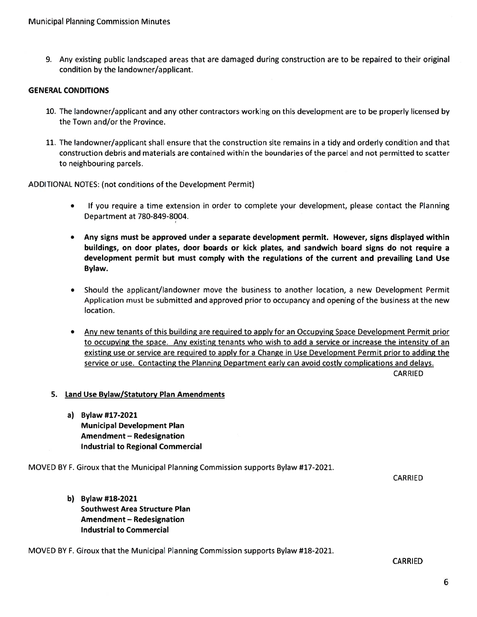9. Any existing public landscaped areas that are damaged during construction are to be repaired to their original condition by the landowner/applicant.

#### GENERAL CONDITIONS

- 10. The landowner/applicant and any other contractors working on this development are to be properly licensed by the Town and/or the Province.
- 11. The landowner/applicant shall ensure that the construction site remains in <sup>a</sup> tidy and orderly condition and that construction debris and materials are contained within the boundaries of the parcel and not permitted to scatter to neighbouring parcels.

ADDITIONAL NOTES: (not conditions of the Development Permit)

- $\bullet$  If you require <sup>a</sup> time extension in order to complete your development, please contact the Planning Department at 780-849-8004.
- Any signs must be approved under <sup>a</sup> separate development permit. However, signs displayed within buildings, on door plates, door boards or kick plates, and sandwich board signs do not require <sup>a</sup> development permit but must comply with the regulations of the current and prevailing Land Use Bylaw.
- Should the applicant/landowner move the business to another location, <sup>a</sup> new Development Permit Application must be submitted and approved prior to occupancy and opening of the business at the new location.
- Any new tenants of this building are required to apply for an Occupying Space Development Permit prior to occupying the space. Any existing tenants who wish to add <sup>a</sup> service or increase the intensity of an existing use or service are required to apply for <sup>a</sup> Change in Use Development Permit prior to adding the service or use. Contacting the Planning Department early can avoid costly complications and delays.

CARRIED

- 5. <u>Land Use Bylaw/Statutory Plan Amendments</u>
	- a) Bylaw #17-2021 Municipal Development Plan Amendment – Redesignation Industrial to Regional Commercial

MOVED BY F. Giroux that the Municipal Planning Commission supports Bylaw #17-2021.

CARRIED

b) Bylaw #18-2021 Southwest Area Structure Plan Amendment — Redesignation Industrial to Commercial

MOVED BY F. Giroux that the Municipal Planning Commission supports Bylaw #18-2021.

CARRIED